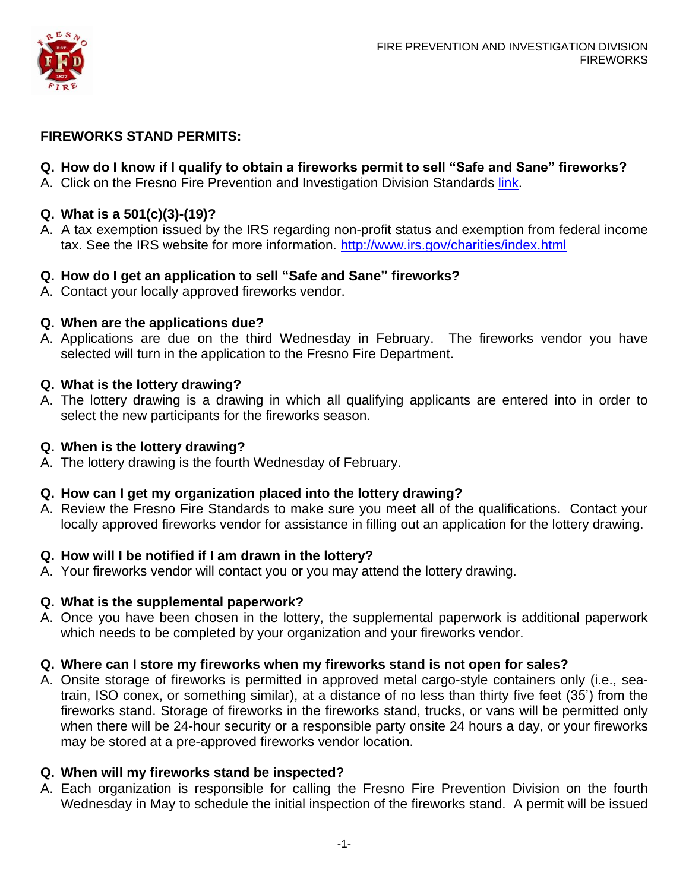

### **FIREWORKS STAND PERMITS:**

### **Q. How do I know if I qualify to obtain a fireworks permit to sell "Safe and Sane" fireworks?**

A. Click on the Fresno Fire Prevention and Investigation Division Standards [link.](http://www.fresno.gov/NR/rdonlyres/B3623CB6-DFDE-4F6E-BB43-30D9B440A196/23885/2012FRESNOSOP121311.pdf)

### **Q. What is a 501(c)(3)-(19)?**

A. A tax exemption issued by the IRS regarding non-profit status and exemption from federal income tax. See the IRS website for more information. <http://www.irs.gov/charities/index.html>

### **Q. How do I get an application to sell "Safe and Sane" fireworks?**

A. Contact your locally approved fireworks vendor.

### **Q. When are the applications due?**

A. Applications are due on the third Wednesday in February. The fireworks vendor you have selected will turn in the application to the Fresno Fire Department.

### **Q. What is the lottery drawing?**

A. The lottery drawing is a drawing in which all qualifying applicants are entered into in order to select the new participants for the fireworks season.

### **Q. When is the lottery drawing?**

A. The lottery drawing is the fourth Wednesday of February.

### **Q. How can I get my organization placed into the lottery drawing?**

A. Review the Fresno Fire Standards to make sure you meet all of the qualifications. Contact your locally approved fireworks vendor for assistance in filling out an application for the lottery drawing.

### **Q. How will I be notified if I am drawn in the lottery?**

A. Your fireworks vendor will contact you or you may attend the lottery drawing.

### **Q. What is the supplemental paperwork?**

A. Once you have been chosen in the lottery, the supplemental paperwork is additional paperwork which needs to be completed by your organization and your fireworks vendor.

### **Q. Where can I store my fireworks when my fireworks stand is not open for sales?**

A. Onsite storage of fireworks is permitted in approved metal cargo-style containers only (i.e., seatrain, ISO conex, or something similar), at a distance of no less than thirty five feet (35') from the fireworks stand. Storage of fireworks in the fireworks stand, trucks, or vans will be permitted only when there will be 24-hour security or a responsible party onsite 24 hours a day, or your fireworks may be stored at a pre-approved fireworks vendor location.

### **Q. When will my fireworks stand be inspected?**

A. Each organization is responsible for calling the Fresno Fire Prevention Division on the fourth Wednesday in May to schedule the initial inspection of the fireworks stand. A permit will be issued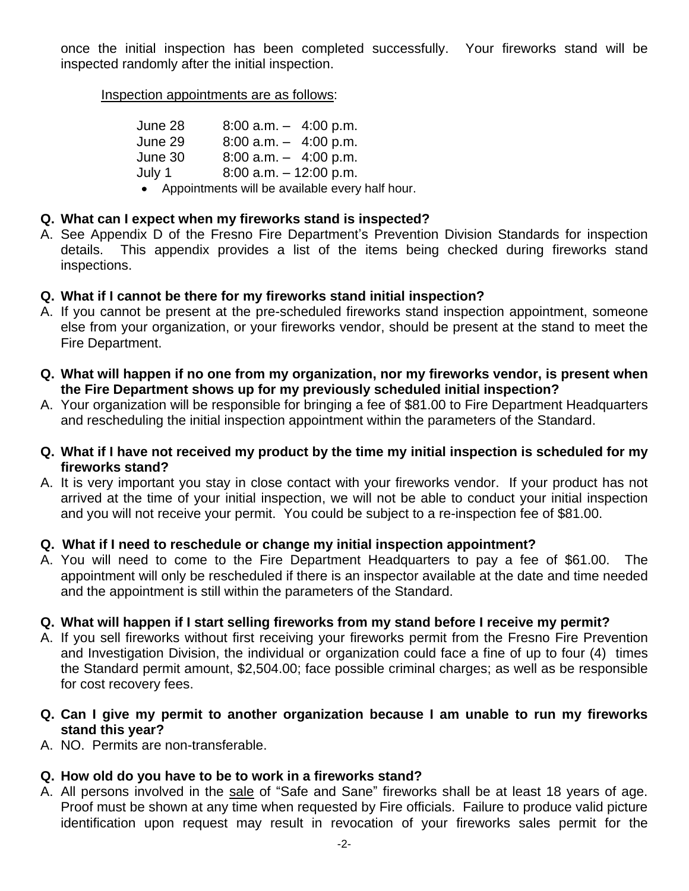once the initial inspection has been completed successfully. Your fireworks stand will be inspected randomly after the initial inspection.

Inspection appointments are as follows:

| June 28 | $8:00$ a.m. $-$ 4:00 p.m. |
|---------|---------------------------|
| June 29 | $8:00$ a.m. $-$ 4:00 p.m. |
| June 30 | $8:00$ a.m. $-$ 4:00 p.m. |
| July 1  | $8:00$ a.m. $-12:00$ p.m. |

Appointments will be available every half hour.

# **Q. What can I expect when my fireworks stand is inspected?**

A. See Appendix D of the Fresno Fire Department's Prevention Division Standards for inspection details. This appendix provides a list of the items being checked during fireworks stand inspections.

# **Q. What if I cannot be there for my fireworks stand initial inspection?**

- A. If you cannot be present at the pre-scheduled fireworks stand inspection appointment, someone else from your organization, or your fireworks vendor, should be present at the stand to meet the Fire Department.
- **Q. What will happen if no one from my organization, nor my fireworks vendor, is present when the Fire Department shows up for my previously scheduled initial inspection?**
- A. Your organization will be responsible for bringing a fee of \$81.00 to Fire Department Headquarters and rescheduling the initial inspection appointment within the parameters of the Standard.
- **Q. What if I have not received my product by the time my initial inspection is scheduled for my fireworks stand?**
- A. It is very important you stay in close contact with your fireworks vendor. If your product has not arrived at the time of your initial inspection, we will not be able to conduct your initial inspection and you will not receive your permit. You could be subject to a re-inspection fee of \$81.00.

# **Q. What if I need to reschedule or change my initial inspection appointment?**

A. You will need to come to the Fire Department Headquarters to pay a fee of \$61.00. The appointment will only be rescheduled if there is an inspector available at the date and time needed and the appointment is still within the parameters of the Standard.

# **Q. What will happen if I start selling fireworks from my stand before I receive my permit?**

A. If you sell fireworks without first receiving your fireworks permit from the Fresno Fire Prevention and Investigation Division, the individual or organization could face a fine of up to four (4) times the Standard permit amount, \$2,504.00; face possible criminal charges; as well as be responsible for cost recovery fees.

# **Q. Can I give my permit to another organization because I am unable to run my fireworks stand this year?**

A. NO. Permits are non-transferable.

# **Q. How old do you have to be to work in a fireworks stand?**

A. All persons involved in the sale of "Safe and Sane" fireworks shall be at least 18 years of age. Proof must be shown at any time when requested by Fire officials. Failure to produce valid picture identification upon request may result in revocation of your fireworks sales permit for the